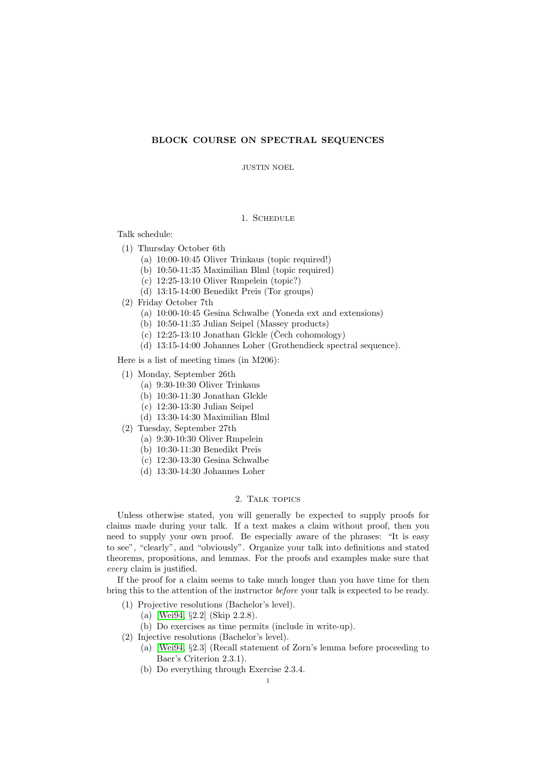## BLOCK COURSE ON SPECTRAL SEQUENCES

JUSTIN NOEL

## 1. Schedule

Talk schedule:

- (1) Thursday October 6th
	- (a) 10:00-10:45 Oliver Trinkaus (topic required!)
	- (b) 10:50-11:35 Maximilian Blml (topic required)
	- (c) 12:25-13:10 Oliver Rmpelein (topic?)
	- (d) 13:15-14:00 Benedikt Preis (Tor groups)
- (2) Friday October 7th
	- (a) 10:00-10:45 Gesina Schwalbe (Yoneda ext and extensions)
	- (b) 10:50-11:35 Julian Seipel (Massey products)
	- (c)  $12:25-13:10$  Jonathan Glckle (Čech cohomology)
	- (d) 13:15-14:00 Johannes Loher (Grothendieck spectral sequence).

Here is a list of meeting times (in M206):

- (1) Monday, September 26th
	- (a) 9:30-10:30 Oliver Trinkaus
	- (b) 10:30-11:30 Jonathan Glckle
	- (c) 12:30-13:30 Julian Seipel
	- (d) 13:30-14:30 Maximilian Blml
- (2) Tuesday, September 27th
	- (a) 9:30-10:30 Oliver Rmpelein
	- (b) 10:30-11:30 Benedikt Preis
	- (c) 12:30-13:30 Gesina Schwalbe
	- (d) 13:30-14:30 Johannes Loher

## 2. TALK TOPICS

Unless otherwise stated, you will generally be expected to supply proofs for claims made during your talk. If a text makes a claim without proof, then you need to supply your own proof. Be especially aware of the phrases: "It is easy to see", "clearly", and "obviously". Organize your talk into definitions and stated theorems, propositions, and lemmas. For the proofs and examples make sure that every claim is justified.

If the proof for a claim seems to take much longer than you have time for then bring this to the attention of the instructor before your talk is expected to be ready.

- (1) Projective resolutions (Bachelor's level).
	- (a) [\[Wei94,](#page-3-0) §2.2] (Skip 2.2.8).
	- (b) Do exercises as time permits (include in write-up).
- (2) Injective resolutions (Bachelor's level).
	- (a) [\[Wei94,](#page-3-0) §2.3] (Recall statement of Zorn's lemma before proceeding to Baer's Criterion 2.3.1).
	- (b) Do everything through Exercise 2.3.4.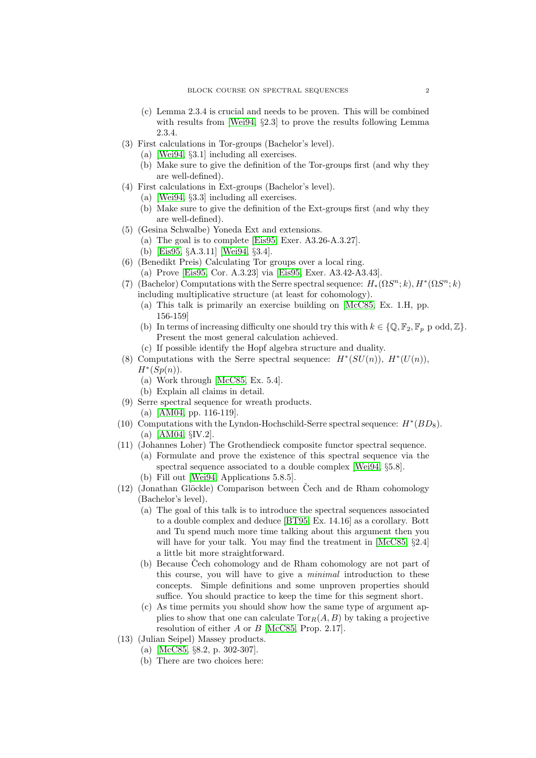- (c) Lemma 2.3.4 is crucial and needs to be proven. This will be combined with results from [\[Wei94,](#page-3-0) §2.3] to prove the results following Lemma 2.3.4.
- (3) First calculations in Tor-groups (Bachelor's level).
	- (a) [\[Wei94,](#page-3-0) §3.1] including all exercises.
	- (b) Make sure to give the definition of the Tor-groups first (and why they are well-defined).
- (4) First calculations in Ext-groups (Bachelor's level).
	- (a) [\[Wei94,](#page-3-0) §3.3] including all exercises.
	- (b) Make sure to give the definition of the Ext-groups first (and why they are well-defined).
- (5) (Gesina Schwalbe) Yoneda Ext and extensions.
	- (a) The goal is to complete [\[Eis95,](#page-3-1) Exer. A3.26-A.3.27].
	- (b) [\[Eis95,](#page-3-1) §A.3.11] [\[Wei94,](#page-3-0) §3.4].
- (6) (Benedikt Preis) Calculating Tor groups over a local ring.
	- (a) Prove [\[Eis95,](#page-3-1) Cor. A.3.23] via [\[Eis95,](#page-3-1) Exer. A3.42-A3.43].
- (7) (Bachelor) Computations with the Serre spectral sequence:  $H_*(\Omega S^n; k)$ ,  $H^*(\Omega S^n; k)$ including multiplicative structure (at least for cohomology).
	- (a) This talk is primarily an exercise building on [\[McC85,](#page-3-2) Ex. 1.H, pp. 156-159]
	- (b) In terms of increasing difficulty one should try this with  $k \in \{0, \mathbb{F}_2, \mathbb{F}_p$  p odd,  $\mathbb{Z}\}$ . Present the most general calculation achieved.
	- (c) If possible identify the Hopf algebra structure and duality.
- (8) Computations with the Serre spectral sequence:  $H^*(SU(n))$ ,  $H^*(U(n))$ ,  $H^*(Sp(n)).$ 
	- (a) Work through [\[McC85,](#page-3-2) Ex. 5.4].
	- (b) Explain all claims in detail.
- (9) Serre spectral sequence for wreath products.
	- (a) [\[AM04,](#page-3-3) pp. 116-119].
- (10) Computations with the Lyndon-Hochschild-Serre spectral sequence:  $H^*(BD_8)$ . (a) [\[AM04,](#page-3-3) §IV.2].
- (11) (Johannes Loher) The Grothendieck composite functor spectral sequence.
	- (a) Formulate and prove the existence of this spectral sequence via the spectral sequence associated to a double complex [\[Wei94,](#page-3-0) §5.8].
		- (b) Fill out [\[Wei94,](#page-3-0) Applications 5.8.5].
- $(12)$  (Jonathan Glöckle) Comparison between Čech and de Rham cohomology (Bachelor's level).
	- (a) The goal of this talk is to introduce the spectral sequences associated to a double complex and deduce [\[BT95,](#page-3-4) Ex. 14.16] as a corollary. Bott and Tu spend much more time talking about this argument then you will have for your talk. You may find the treatment in [\[McC85,](#page-3-2)  $\S 2.4$ ] a little bit more straightforward.
	- (b) Because Čech cohomology and de Rham cohomology are not part of this course, you will have to give a minimal introduction to these concepts. Simple definitions and some unproven properties should suffice. You should practice to keep the time for this segment short.
	- (c) As time permits you should show how the same type of argument applies to show that one can calculate  $\text{Tor}_R(A, B)$  by taking a projective resolution of either A or B [\[McC85,](#page-3-2) Prop. 2.17].
- (13) (Julian Seipel) Massey products.
	- (a) [\[McC85,](#page-3-2) §8.2, p. 302-307].
	- (b) There are two choices here: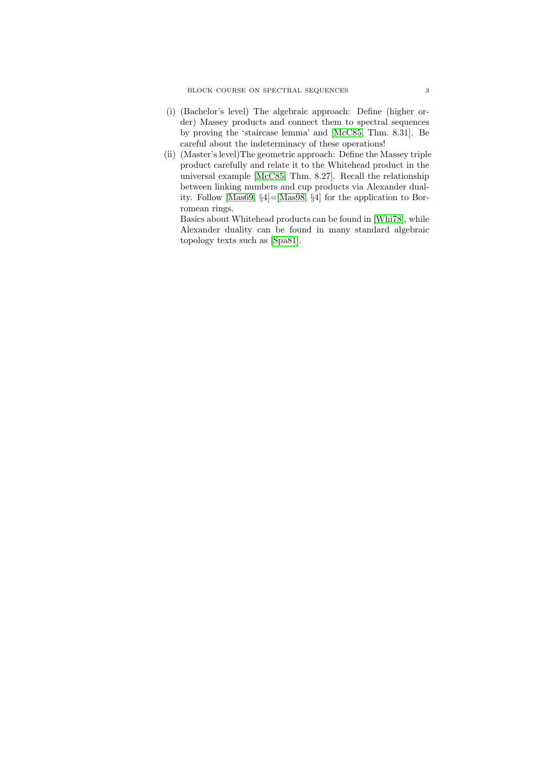- (i) (Bachelor's level) The algebraic approach: Define (higher order) Massey products and connect them to spectral sequences by proving the 'staircase lemma' and [\[McC85,](#page-3-2) Thm. 8.31]. Be careful about the indeterminacy of these operations!
- (ii) (Master's level)The geometric approach: Define the Massey triple product carefully and relate it to the Whitehead product in the universal example [\[McC85,](#page-3-2) Thm. 8.27]. Recall the relationship between linking numbers and cup products via Alexander duality. Follow [\[Mas69,](#page-3-5) §4]=[\[Mas98,](#page-3-6) §4] for the application to Borromean rings.

Basics about Whitehead products can be found in [\[Whi78\]](#page-3-7), while Alexander duality can be found in many standard algebraic topology texts such as [\[Spa81\]](#page-3-8).